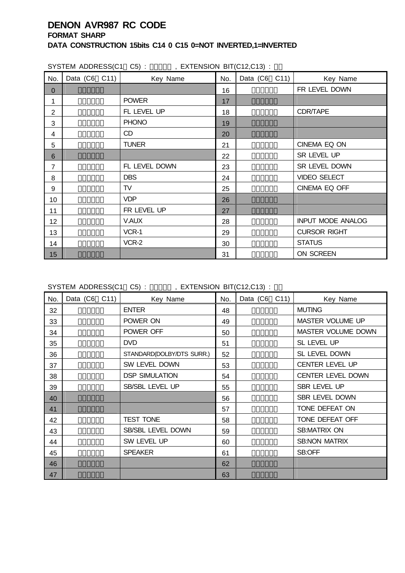| SYSTEM ADDRESS(C1 C5): , EXTENSION BIT(C12,C13): |  |                          |     |                       |  |                          |  |  |  |  |  |  |
|--------------------------------------------------|--|--------------------------|-----|-----------------------|--|--------------------------|--|--|--|--|--|--|
| No.                                              |  | Data (C6 C11)   Key Name | No. | Data $(C6 \quad C11)$ |  | Key Name                 |  |  |  |  |  |  |
| $\mathbf{0}$                                     |  |                          | 16  |                       |  | FR LEVEL DOWN            |  |  |  |  |  |  |
| 1                                                |  | <b>POWER</b>             | 17  |                       |  |                          |  |  |  |  |  |  |
| $\overline{2}$                                   |  | FL LEVEL UP              | 18  |                       |  | CDR/TAPE                 |  |  |  |  |  |  |
| 3                                                |  | <b>PHONO</b>             | 19  |                       |  |                          |  |  |  |  |  |  |
| 4                                                |  | CD                       | 20  |                       |  |                          |  |  |  |  |  |  |
| 5                                                |  | <b>TUNER</b>             | 21  |                       |  | CINEMA EQ ON             |  |  |  |  |  |  |
| 6                                                |  |                          | 22  |                       |  | SR LEVEL UP              |  |  |  |  |  |  |
| $\overline{7}$                                   |  | FL LEVEL DOWN            | 23  |                       |  | SR LEVEL DOWN            |  |  |  |  |  |  |
| 8                                                |  | <b>DBS</b>               | 24  |                       |  | <b>VIDEO SELECT</b>      |  |  |  |  |  |  |
| 9                                                |  | TV                       | 25  |                       |  | CINEMA EQ OFF            |  |  |  |  |  |  |
| 10                                               |  | <b>VDP</b>               | 26  |                       |  |                          |  |  |  |  |  |  |
| 11                                               |  | FR LEVEL UP              | 27  |                       |  |                          |  |  |  |  |  |  |
| 12                                               |  | V.AUX                    | 28  |                       |  | <b>INPUT MODE ANALOG</b> |  |  |  |  |  |  |
| 13                                               |  | VCR-1                    | 29  |                       |  | <b>CURSOR RIGHT</b>      |  |  |  |  |  |  |
| 14                                               |  | VCR-2                    | 30  |                       |  | <b>STATUS</b>            |  |  |  |  |  |  |
| 15                                               |  |                          | 31  |                       |  | ON SCREEN                |  |  |  |  |  |  |

SYSTEM ADDRESS(C1 C5) : 01000 , EXTENSION BIT(C12,C13) :

| No. | Data (C6 C11) | Key Name                  | No. | Data (C6 C11) | Key Name                  |
|-----|---------------|---------------------------|-----|---------------|---------------------------|
| 32  |               | <b>ENTER</b>              | 48  |               | <b>MUTING</b>             |
| 33  |               | POWER ON                  | 49  |               | <b>MASTER VOLUME UP</b>   |
| 34  |               | POWER OFF                 | 50  |               | <b>MASTER VOLUME DOWN</b> |
| 35  |               | <b>DVD</b>                | 51  |               | SL LEVEL UP               |
| 36  |               | STANDARD(DOLBY/DTS SURR.) | 52  |               | SL LEVEL DOWN             |
| 37  |               | SW LEVEL DOWN             | 53  |               | CENTER LEVEL UP           |
| 38  |               | <b>DSP SIMULATION</b>     | 54  |               | <b>CENTER LEVEL DOWN</b>  |
| 39  |               | SB/SBL LEVEL UP           | 55  |               | SBR LEVEL UP              |
| 40  |               |                           | 56  |               | SBR LEVEL DOWN            |
| 41  |               |                           | 57  |               | TONE DEFEAT ON            |
| 42  |               | <b>TEST TONE</b>          | 58  |               | TONE DEFEAT OFF           |
| 43  |               | SB/SBL LEVEL DOWN         | 59  |               | <b>SB:MATRIX ON</b>       |
| 44  |               | SW LEVEL UP               | 60  |               | <b>SB:NON MATRIX</b>      |
| 45  |               | <b>SPEAKER</b>            | 61  |               | SB:OFF                    |
| 46  |               |                           | 62  |               |                           |
| 47  |               |                           | 63  |               |                           |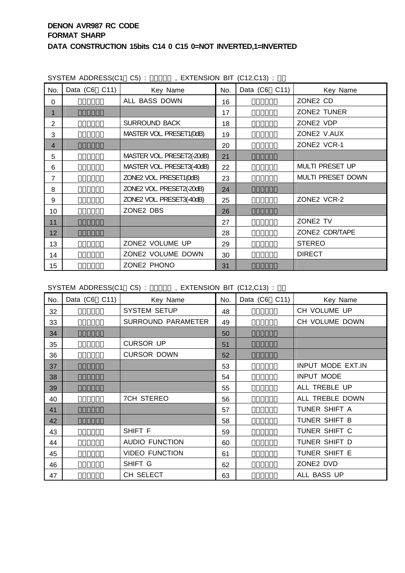|                | 3131EM ADDNESSICT CSI. | , LATENSIUN DIT (UTZ,UTS). |     |               |                   |
|----------------|------------------------|----------------------------|-----|---------------|-------------------|
| No.            | Data (C6 C11)          | Key Name                   | No. | Data (C6 C11) | Key Name          |
| $\Omega$       |                        | ALL BASS DOWN              | 16  |               | ZONE2 CD          |
| 1              |                        |                            | 17  |               | ZONE2 TUNER       |
| 2              |                        | <b>SURROUND BACK</b>       | 18  |               | ZONE2 VDP         |
| 3              |                        | MASTER VOL. PRESET1(0dB)   | 19  |               | ZONE2 V.AUX       |
| $\overline{4}$ |                        |                            | 20  |               | ZONE2 VCR-1       |
| 5              |                        | MASTER VOL. PRESET2(-20dB) | 21  |               |                   |
| 6              |                        | MASTER VOL. PRESET3(-40dB) | 22  |               | MULTI PRESET UP   |
| 7              |                        | ZONE2 VOL. PRESET1(0dB)    | 23  |               | MULTI PRESET DOWN |
| 8              |                        | ZONE2 VOL. PRESET2(-20dB)  | 24  |               |                   |
| 9              |                        | ZONE2 VOL. PRESET3(-40dB)  | 25  |               | ZONE2 VCR-2       |
| 10             |                        | ZONE2 DBS                  | 26  |               |                   |
| 11             |                        |                            | 27  |               | ZONE2 TV          |
| 12             |                        |                            | 28  |               | ZONE2 CDR/TAPE    |
| 13             |                        | ZONE2 VOLUME UP            | 29  |               | <b>STEREO</b>     |
| 14             |                        | ZONE2 VOLUME DOWN          | 30  |               | <b>DIRECT</b>     |
| 15             |                        | ZONE2 PHONO                | 31  |               |                   |

SYSTEM ADDRESS(C1 C5) : 0011 EXTENSION BIT (C12,C13) :

SYSTEM ADDRESS(C1 C5) : 001110 , EXTENSION BIT (C12,C13) :

| No. | Data (C6 C11) | Key Name                  | No. | Data (C6 C11) | Key Name          |
|-----|---------------|---------------------------|-----|---------------|-------------------|
| 32  |               | <b>SYSTEM SETUP</b>       | 48  |               | CH VOLUME UP      |
| 33  |               | <b>SURROUND PARAMETER</b> | 49  |               | CH VOLUME DOWN    |
| 34  |               |                           | 50  |               |                   |
| 35  |               | <b>CURSOR UP</b>          | 51  |               |                   |
| 36  |               | <b>CURSOR DOWN</b>        | 52  |               |                   |
| 37  |               |                           | 53  |               | INPUT MODE EXT.IN |
| 38  |               |                           | 54  |               | <b>INPUT MODE</b> |
| 39  |               |                           | 55  |               | ALL TREBLE UP     |
| 40  |               | <b>7CH STEREO</b>         | 56  |               | ALL TREBLE DOWN   |
| 41  |               |                           | 57  |               | TUNER SHIFT A     |
| 42  |               |                           | 58  |               | TUNER SHIFT B     |
| 43  |               | SHIFT F                   | 59  |               | TUNER SHIFT C     |
| 44  |               | <b>AUDIO FUNCTION</b>     | 60  |               | TUNER SHIFT D     |
| 45  |               | <b>VIDEO FUNCTION</b>     | 61  |               | TUNER SHIFT E     |
| 46  |               | SHIFT G                   | 62  |               | ZONE2 DVD         |
| 47  |               | CH SELECT                 | 63  |               | ALL BASS UP       |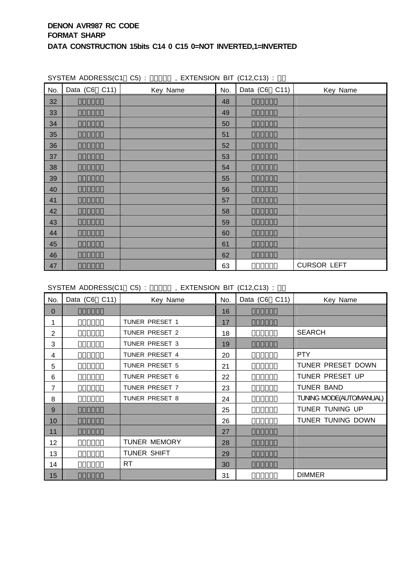| No. | $\sum_{i=1}^{n}$<br>Data (C6 C11) | Key Name | No. | Data $(C6 \ C11)$ | Key Name           |
|-----|-----------------------------------|----------|-----|-------------------|--------------------|
| 32  |                                   |          | 48  |                   |                    |
| 33  |                                   |          | 49  |                   |                    |
| 34  |                                   |          | 50  |                   |                    |
| 35  |                                   |          | 51  |                   |                    |
| 36  |                                   |          | 52  |                   |                    |
| 37  |                                   |          | 53  |                   |                    |
| 38  |                                   |          | 54  |                   |                    |
| 39  |                                   |          | 55  |                   |                    |
| 40  |                                   |          | 56  |                   |                    |
| 41  |                                   |          | 57  |                   |                    |
| 42  |                                   |          | 58  |                   |                    |
| 43  |                                   |          | 59  |                   |                    |
| 44  |                                   |          | 60  |                   |                    |
| 45  |                                   |          | 61  |                   |                    |
| 46  |                                   |          | 62  |                   |                    |
| 47  |                                   |          | 63  |                   | <b>CURSOR LEFT</b> |

SYSTEM ADDRESS(C1 C5) :  $\qquad$ , EXTENSION BIT (C12,C13) :

SYSTEM ADDRESS(C1 C5) :  $\qquad$ , EXTENSION BIT (C12,C13) :

| No.            | Data (C6 C11) | Key Name            | No. | Data (C6 C11) | Key Name                |
|----------------|---------------|---------------------|-----|---------------|-------------------------|
| 0              |               |                     | 16  |               |                         |
| 1              |               | TUNER PRESET 1      | 17  |               |                         |
| $\overline{2}$ |               | TUNER PRESET 2      | 18  |               | <b>SEARCH</b>           |
| 3              |               | TUNER PRESET 3      | 19  |               |                         |
| 4              |               | TUNER PRESET 4      | 20  |               | <b>PTY</b>              |
| 5              |               | TUNER PRESET 5      | 21  |               | TUNER PRESET DOWN       |
| 6              |               | TUNER PRESET 6      | 22  |               | TUNER PRESET UP         |
| 7              |               | TUNER PRESET 7      | 23  |               | <b>TUNER BAND</b>       |
| 8              |               | TUNER PRESET 8      | 24  |               | TUNING MODE(AUTOMANUAL) |
| 9              |               |                     | 25  |               | TUNER TUNING UP         |
| 10             |               |                     | 26  |               | TUNER TUNING DOWN       |
| 11             |               |                     | 27  |               |                         |
| 12             |               | <b>TUNER MEMORY</b> | 28  |               |                         |
| 13             |               | TUNER SHIFT         | 29  |               |                         |
| 14             |               | <b>RT</b>           | 30  |               |                         |
| 15             |               |                     | 31  |               | <b>DIMMER</b>           |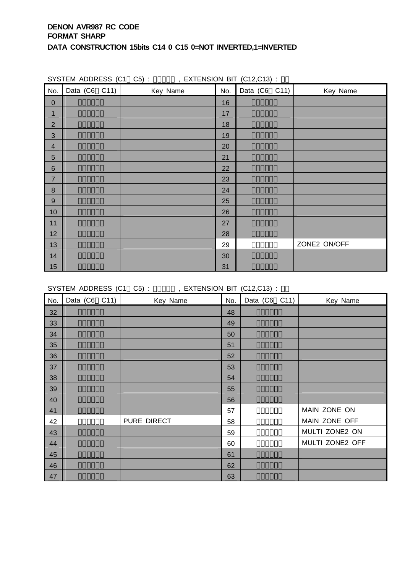| No.              | Data $(C6 \quad C11)$ | $\frac{1}{2}$ , $\frac{1}{2}$ , $\frac{1}{2}$ , $\frac{1}{2}$ , $\frac{1}{2}$ , $\frac{1}{2}$ , $\frac{1}{2}$ , $\frac{1}{2}$ , $\frac{1}{2}$ , $\frac{1}{2}$ , $\frac{1}{2}$<br>Key Name |    | No. Data (C6 C11) | Key Name     |
|------------------|-----------------------|-------------------------------------------------------------------------------------------------------------------------------------------------------------------------------------------|----|-------------------|--------------|
| $\pmb{0}$        |                       |                                                                                                                                                                                           | 16 |                   |              |
| $\mathbf{1}$     |                       |                                                                                                                                                                                           | 17 |                   |              |
| $\overline{2}$   |                       |                                                                                                                                                                                           | 18 |                   |              |
| $\sqrt{3}$       |                       |                                                                                                                                                                                           | 19 |                   |              |
| $\overline{4}$   |                       |                                                                                                                                                                                           | 20 |                   |              |
| 5                |                       |                                                                                                                                                                                           | 21 |                   |              |
| $\,$ 6 $\,$      |                       |                                                                                                                                                                                           | 22 |                   |              |
| $\overline{7}$   |                       |                                                                                                                                                                                           | 23 |                   |              |
| $\bf 8$          |                       |                                                                                                                                                                                           | 24 |                   |              |
| $\boldsymbol{9}$ |                       |                                                                                                                                                                                           | 25 |                   |              |
| 10               |                       |                                                                                                                                                                                           | 26 |                   |              |
| 11               |                       |                                                                                                                                                                                           | 27 |                   |              |
| 12               |                       |                                                                                                                                                                                           | 28 |                   |              |
| 13               |                       |                                                                                                                                                                                           | 29 |                   | ZONE2 ON/OFF |
| 14               |                       |                                                                                                                                                                                           | 30 |                   |              |
| 15               |                       |                                                                                                                                                                                           | 31 |                   |              |

SYSTEM ADDRESS (C1 C5) : 01000 , EXTENSION BIT (C12,C13) :

SYSTEM ADDRESS (C1 C5) : 01000 , EXTENSION BIT (C12,C13) :

| No. | Data (C6 C11) | Key Name    | No. | Data (C6 C11) | Key Name        |
|-----|---------------|-------------|-----|---------------|-----------------|
| 32  |               |             | 48  |               |                 |
| 33  |               |             | 49  |               |                 |
| 34  |               |             | 50  |               |                 |
| 35  |               |             | 51  |               |                 |
| 36  |               |             | 52  |               |                 |
| 37  |               |             | 53  |               |                 |
| 38  |               |             | 54  |               |                 |
| 39  |               |             | 55  |               |                 |
| 40  |               |             | 56  |               |                 |
| 41  |               |             | 57  |               | MAIN ZONE ON    |
| 42  |               | PURE DIRECT | 58  |               | MAIN ZONE OFF   |
| 43  |               |             | 59  |               | MULTI ZONE2 ON  |
| 44  |               |             | 60  |               | MULTI ZONE2 OFF |
| 45  |               |             | 61  |               |                 |
| 46  |               |             | 62  |               |                 |
| 47  |               |             | 63  |               |                 |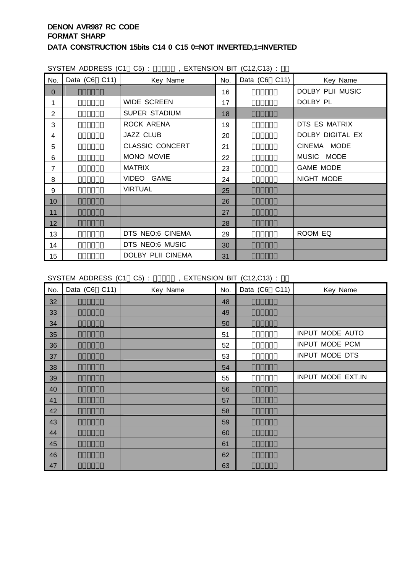| SYSTEM ADDRESS (C1 C5): , EXTENSION BIT (C12,C13): |                       |                        |     |                       |                  |  |  |  |  |  |  |  |
|----------------------------------------------------|-----------------------|------------------------|-----|-----------------------|------------------|--|--|--|--|--|--|--|
| No.                                                | Data $(C6 \quad C11)$ | Key Name               | No. | Data $(C6 \quad C11)$ | Key Name         |  |  |  |  |  |  |  |
| $\mathbf{0}$                                       |                       |                        | 16  |                       | DOLBY PLII MUSIC |  |  |  |  |  |  |  |
| 1                                                  |                       | <b>WIDE SCREEN</b>     | 17  |                       | DOLBY PL         |  |  |  |  |  |  |  |
| $\overline{2}$                                     |                       | <b>SUPER STADIUM</b>   | 18  |                       |                  |  |  |  |  |  |  |  |
| 3                                                  |                       | ROCK ARENA             | 19  |                       | DTS ES MATRIX    |  |  |  |  |  |  |  |
| 4                                                  |                       | <b>JAZZ CLUB</b>       | 20  |                       | DOLBY DIGITAL EX |  |  |  |  |  |  |  |
| 5                                                  |                       | <b>CLASSIC CONCERT</b> | 21  |                       | CINEMA MODE      |  |  |  |  |  |  |  |
| 6                                                  |                       | MONO MOVIE             | 22  |                       | MUSIC MODE       |  |  |  |  |  |  |  |
| $\overline{7}$                                     |                       | <b>MATRIX</b>          | 23  |                       | <b>GAME MODE</b> |  |  |  |  |  |  |  |
| 8                                                  |                       | VIDEO GAME             | 24  |                       | NIGHT MODE       |  |  |  |  |  |  |  |
| 9                                                  |                       | <b>VIRTUAL</b>         | 25  |                       |                  |  |  |  |  |  |  |  |
| 10                                                 |                       |                        | 26  |                       |                  |  |  |  |  |  |  |  |
| 11                                                 |                       |                        | 27  |                       |                  |  |  |  |  |  |  |  |
| 12                                                 |                       |                        | 28  |                       |                  |  |  |  |  |  |  |  |
| 13                                                 |                       | DTS NEO:6 CINEMA       | 29  |                       | ROOM EQ          |  |  |  |  |  |  |  |
| 14                                                 |                       | DTS NEO:6 MUSIC        | 30  |                       |                  |  |  |  |  |  |  |  |
| 15                                                 |                       | DOLBY PLII CINEMA      | 31  |                       |                  |  |  |  |  |  |  |  |

SYSTEM ADDRESS (C1 C5) : 0010 , EXTENSION BIT (C12,C13) :

| No. | Data (C6 C11) | Key Name | No. | Data $(C6 \quad C11)$ | Key Name          |
|-----|---------------|----------|-----|-----------------------|-------------------|
| 32  |               |          | 48  |                       |                   |
| 33  |               |          | 49  |                       |                   |
| 34  |               |          | 50  |                       |                   |
| 35  |               |          | 51  |                       | INPUT MODE AUTO   |
| 36  |               |          | 52  |                       | INPUT MODE PCM    |
| 37  |               |          | 53  |                       | INPUT MODE DTS    |
| 38  |               |          | 54  |                       |                   |
| 39  |               |          | 55  |                       | INPUT MODE EXT.IN |
| 40  |               |          | 56  |                       |                   |
| 41  |               |          | 57  |                       |                   |
| 42  |               |          | 58  |                       |                   |
| 43  |               |          | 59  |                       |                   |
| 44  |               |          | 60  |                       |                   |
| 45  |               |          | 61  |                       |                   |
| 46  |               |          | 62  |                       |                   |
| 47  |               |          | 63  |                       |                   |